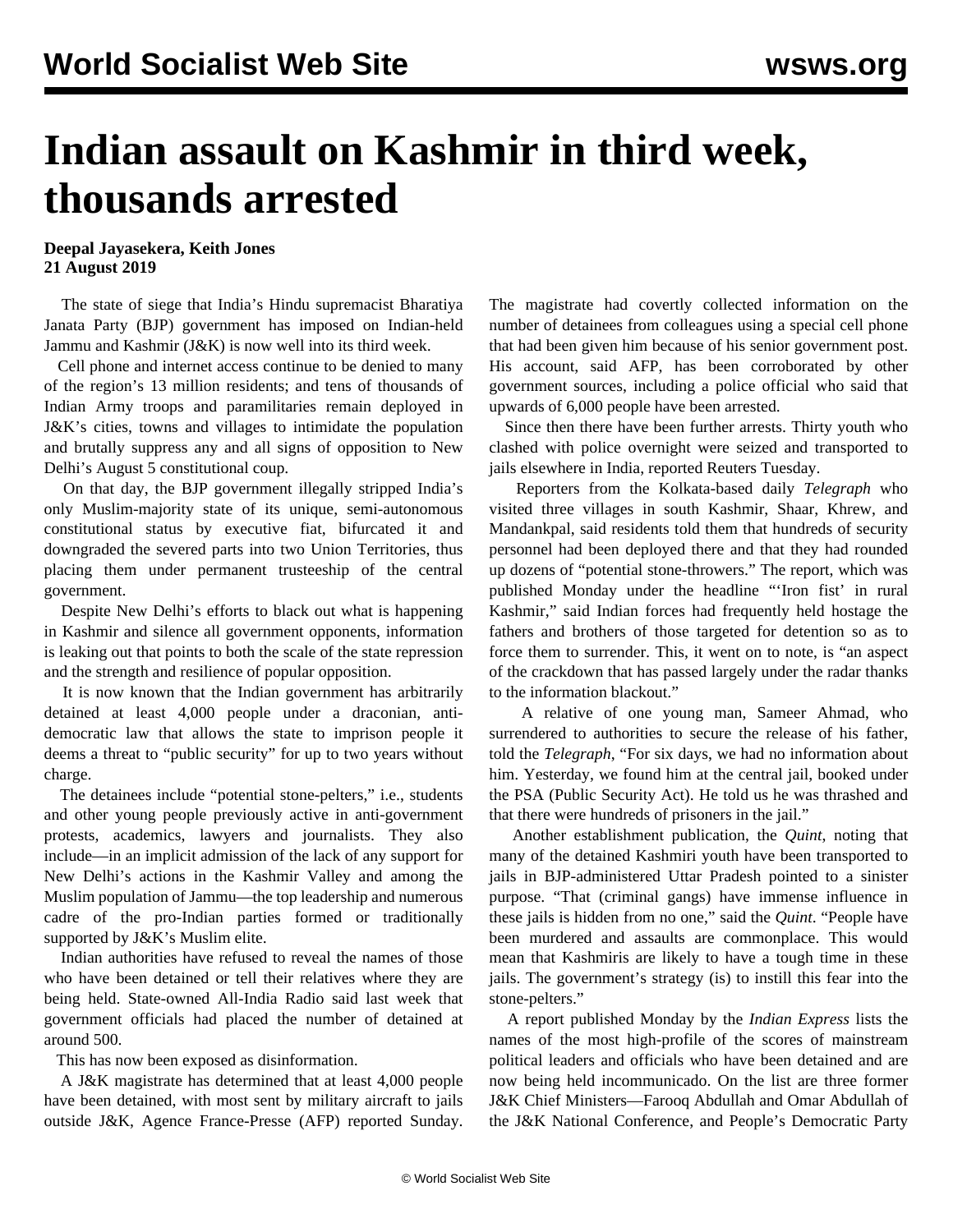## **Indian assault on Kashmir in third week, thousands arrested**

**Deepal Jayasekera, Keith Jones 21 August 2019**

 The state of siege that India's Hindu supremacist Bharatiya Janata Party (BJP) government has imposed on Indian-held Jammu and Kashmir (J&K) is now well into its third week.

 Cell phone and internet access continue to be denied to many of the region's 13 million residents; and tens of thousands of Indian Army troops and paramilitaries remain deployed in J&K's cities, towns and villages to intimidate the population and brutally suppress any and all signs of opposition to New Delhi's August 5 constitutional coup.

 On that day, the BJP government illegally stripped India's only Muslim-majority state of its unique, semi-autonomous constitutional status by executive fiat, bifurcated it and downgraded the severed parts into two Union Territories, thus placing them under permanent trusteeship of the central government.

 Despite New Delhi's efforts to black out what is happening in Kashmir and silence all government opponents, information is leaking out that points to both the scale of the state repression and the strength and resilience of popular opposition.

 It is now known that the Indian government has arbitrarily detained at least 4,000 people under a draconian, antidemocratic law that allows the state to imprison people it deems a threat to "public security" for up to two years without charge.

 The detainees include "potential stone-pelters," i.e., students and other young people previously active in anti-government protests, academics, lawyers and journalists. They also include—in an implicit admission of the lack of any support for New Delhi's actions in the Kashmir Valley and among the Muslim population of Jammu—the top leadership and numerous cadre of the pro-Indian parties formed or traditionally supported by J&K's Muslim elite.

 Indian authorities have refused to reveal the names of those who have been detained or tell their relatives where they are being held. State-owned All-India Radio said last week that government officials had placed the number of detained at around 500.

This has now been exposed as disinformation.

 A J&K magistrate has determined that at least 4,000 people have been detained, with most sent by military aircraft to jails outside J&K, Agence France-Presse (AFP) reported Sunday. The magistrate had covertly collected information on the number of detainees from colleagues using a special cell phone that had been given him because of his senior government post. His account, said AFP, has been corroborated by other government sources, including a police official who said that upwards of 6,000 people have been arrested.

 Since then there have been further arrests. Thirty youth who clashed with police overnight were seized and transported to jails elsewhere in India, reported Reuters Tuesday.

 Reporters from the Kolkata-based daily *Telegraph* who visited three villages in south Kashmir, Shaar, Khrew, and Mandankpal, said residents told them that hundreds of security personnel had been deployed there and that they had rounded up dozens of "potential stone-throwers." The report, which was published Monday under the headline "'Iron fist' in rural Kashmir," said Indian forces had frequently held hostage the fathers and brothers of those targeted for detention so as to force them to surrender. This, it went on to note, is "an aspect of the crackdown that has passed largely under the radar thanks to the information blackout."

 A relative of one young man, Sameer Ahmad, who surrendered to authorities to secure the release of his father, told the *Telegraph*, "For six days, we had no information about him. Yesterday, we found him at the central jail, booked under the PSA (Public Security Act). He told us he was thrashed and that there were hundreds of prisoners in the jail."

 Another establishment publication, the *Quint*, noting that many of the detained Kashmiri youth have been transported to jails in BJP-administered Uttar Pradesh pointed to a sinister purpose. "That (criminal gangs) have immense influence in these jails is hidden from no one," said the *Quint*. "People have been murdered and assaults are commonplace. This would mean that Kashmiris are likely to have a tough time in these jails. The government's strategy (is) to instill this fear into the stone-pelters."

 A report published Monday by the *Indian Express* lists the names of the most high-profile of the scores of mainstream political leaders and officials who have been detained and are now being held incommunicado. On the list are three former J&K Chief Ministers—Farooq Abdullah and Omar Abdullah of the J&K National Conference, and People's Democratic Party